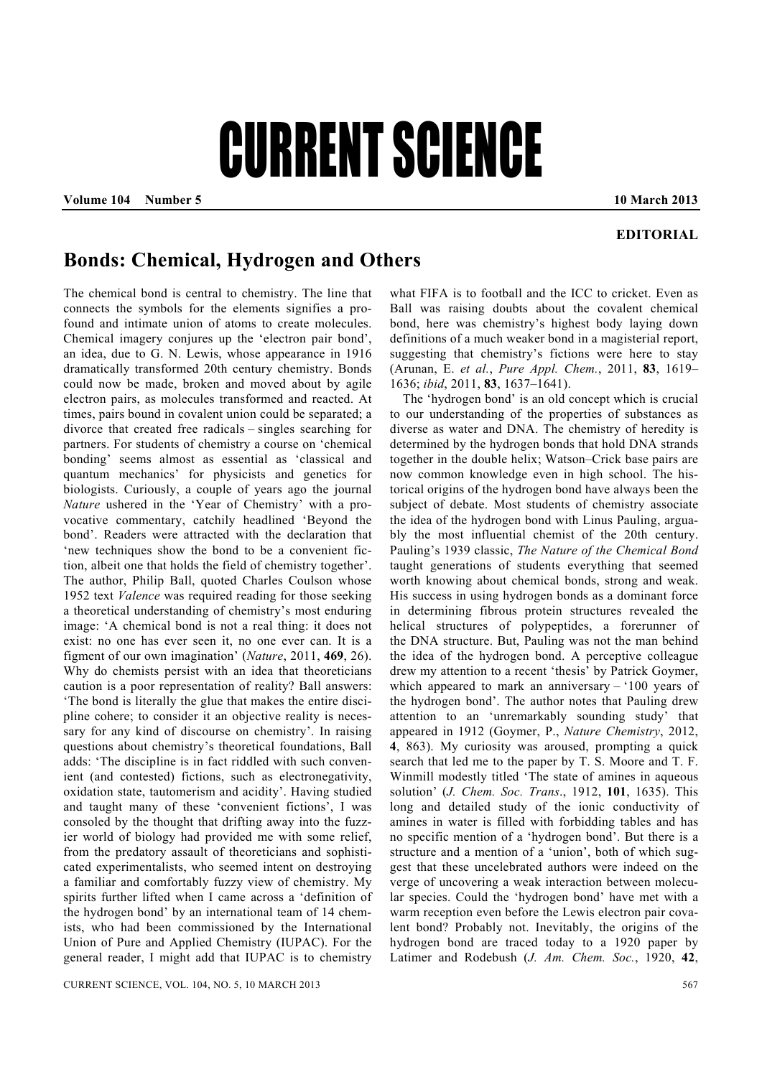# CURRENT SCIENCE

**Volume 104 Number 5 10 March 2013** 

### **EDITORIAL**

## **Bonds: Chemical, Hydrogen and Others**

The chemical bond is central to chemistry. The line that connects the symbols for the elements signifies a profound and intimate union of atoms to create molecules. Chemical imagery conjures up the 'electron pair bond', an idea, due to G. N. Lewis, whose appearance in 1916 dramatically transformed 20th century chemistry. Bonds could now be made, broken and moved about by agile electron pairs, as molecules transformed and reacted. At times, pairs bound in covalent union could be separated; a divorce that created free radicals – singles searching for partners. For students of chemistry a course on 'chemical bonding' seems almost as essential as 'classical and quantum mechanics' for physicists and genetics for biologists. Curiously, a couple of years ago the journal *Nature* ushered in the 'Year of Chemistry' with a provocative commentary, catchily headlined 'Beyond the bond'. Readers were attracted with the declaration that 'new techniques show the bond to be a convenient fiction, albeit one that holds the field of chemistry together'. The author, Philip Ball, quoted Charles Coulson whose 1952 text *Valence* was required reading for those seeking a theoretical understanding of chemistry's most enduring image: 'A chemical bond is not a real thing: it does not exist: no one has ever seen it, no one ever can. It is a figment of our own imagination' (*Nature*, 2011, **469**, 26). Why do chemists persist with an idea that theoreticians caution is a poor representation of reality? Ball answers: 'The bond is literally the glue that makes the entire discipline cohere; to consider it an objective reality is necessary for any kind of discourse on chemistry'. In raising questions about chemistry's theoretical foundations, Ball adds: 'The discipline is in fact riddled with such convenient (and contested) fictions, such as electronegativity, oxidation state, tautomerism and acidity'. Having studied and taught many of these 'convenient fictions', I was consoled by the thought that drifting away into the fuzzier world of biology had provided me with some relief, from the predatory assault of theoreticians and sophisticated experimentalists, who seemed intent on destroying a familiar and comfortably fuzzy view of chemistry. My spirits further lifted when I came across a 'definition of the hydrogen bond' by an international team of 14 chemists, who had been commissioned by the International Union of Pure and Applied Chemistry (IUPAC). For the general reader, I might add that IUPAC is to chemistry

what FIFA is to football and the ICC to cricket. Even as Ball was raising doubts about the covalent chemical bond, here was chemistry's highest body laying down definitions of a much weaker bond in a magisterial report, suggesting that chemistry's fictions were here to stay (Arunan, E. *et al.*, *Pure Appl. Chem.*, 2011, **83**, 1619– 1636; *ibid*, 2011, **83**, 1637–1641).

 The 'hydrogen bond' is an old concept which is crucial to our understanding of the properties of substances as diverse as water and DNA. The chemistry of heredity is determined by the hydrogen bonds that hold DNA strands together in the double helix; Watson–Crick base pairs are now common knowledge even in high school. The historical origins of the hydrogen bond have always been the subject of debate. Most students of chemistry associate the idea of the hydrogen bond with Linus Pauling, arguably the most influential chemist of the 20th century. Pauling's 1939 classic, *The Nature of the Chemical Bond* taught generations of students everything that seemed worth knowing about chemical bonds, strong and weak. His success in using hydrogen bonds as a dominant force in determining fibrous protein structures revealed the helical structures of polypeptides, a forerunner of the DNA structure. But, Pauling was not the man behind the idea of the hydrogen bond. A perceptive colleague drew my attention to a recent 'thesis' by Patrick Goymer, which appeared to mark an anniversary  $-100$  years of the hydrogen bond'. The author notes that Pauling drew attention to an 'unremarkably sounding study' that appeared in 1912 (Goymer, P., *Nature Chemistry*, 2012, **4**, 863). My curiosity was aroused, prompting a quick search that led me to the paper by T. S. Moore and T. F. Winmill modestly titled 'The state of amines in aqueous solution' (*J. Chem. Soc. Trans*., 1912, **101**, 1635). This long and detailed study of the ionic conductivity of amines in water is filled with forbidding tables and has no specific mention of a 'hydrogen bond'. But there is a structure and a mention of a 'union', both of which suggest that these uncelebrated authors were indeed on the verge of uncovering a weak interaction between molecular species. Could the 'hydrogen bond' have met with a warm reception even before the Lewis electron pair covalent bond? Probably not. Inevitably, the origins of the hydrogen bond are traced today to a 1920 paper by Latimer and Rodebush (*J. Am. Chem. Soc.*, 1920, **42**,